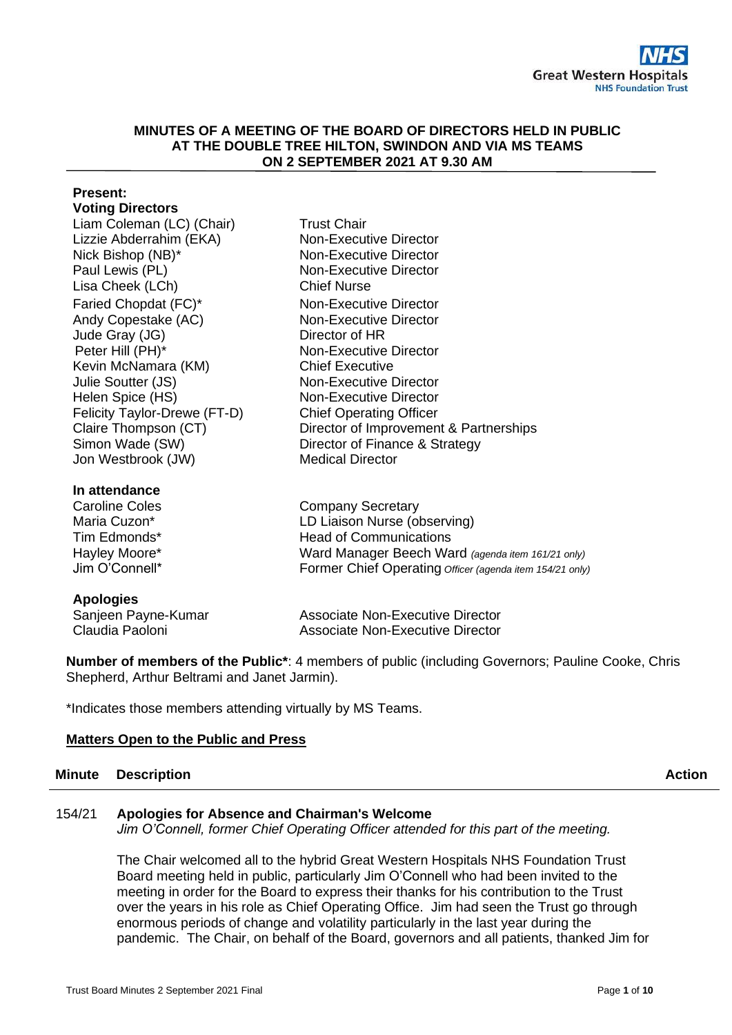#### **MINUTES OF A MEETING OF THE BOARD OF DIRECTORS HELD IN PUBLIC AT THE DOUBLE TREE HILTON, SWINDON AND VIA MS TEAMS ON 2 SEPTEMBER 2021 AT 9.30 AM**

## **Present: Voting Directors**

Liam Coleman (LC) (Chair) Trust Chair Lizzie Abderrahim (EKA) Nick Bishop (NB)\* Paul Lewis (PL) Lisa Cheek (LCh) Chief Nurse Faried Chopdat (FC)\* Non-Executive Director Andy Copestake (AC) Non-Executive Director Jude Gray (JG) Director of HR Peter Hill (PH)\* Non-Executive Director Kevin McNamara (KM) Chief Executive Julie Soutter (JS) Non-Executive Director Helen Spice (HS) Felicity Taylor-Drewe (FT-D) Simon Wade (SW) Jon Westbrook (JW)

## **In attendance**

Caroline Coles Maria Cuzon\* Tim Edmonds\* Hayley Moore\* Jim O'Connell\*

# **Apologies**

Sanjeen Payne-Kuma Claudia Paoloni

Non-Executive Director Non-Executive Director Non-Executive Director Non-Executive Director Chief Operating Officer Claire Thompson (CT) Director of Improvement & Partnerships Director of Finance & Strategy Medical Director

> Company Secretary LD Liaison Nurse (observing) Head of Communications Ward Manager Beech Ward *(agenda item 161/21 only)* Former Chief Operating *Officer (agenda item 154/21 only)*

| эr | <b>Associate Non-Executive Director</b> |  |
|----|-----------------------------------------|--|
|    | Associate Non-Executive Director        |  |

**Number of members of the Public\***: 4 members of public (including Governors; Pauline Cooke, Chris Shepherd, Arthur Beltrami and Janet Jarmin).

\*Indicates those members attending virtually by MS Teams.

# **Matters Open to the Public and Press**

# **Minute Description Action**

# 154/21 **Apologies for Absence and Chairman's Welcome**

*Jim O'Connell, former Chief Operating Officer attended for this part of the meeting.*

The Chair welcomed all to the hybrid Great Western Hospitals NHS Foundation Trust Board meeting held in public, particularly Jim O'Connell who had been invited to the meeting in order for the Board to express their thanks for his contribution to the Trust over the years in his role as Chief Operating Office. Jim had seen the Trust go through enormous periods of change and volatility particularly in the last year during the pandemic. The Chair, on behalf of the Board, governors and all patients, thanked Jim for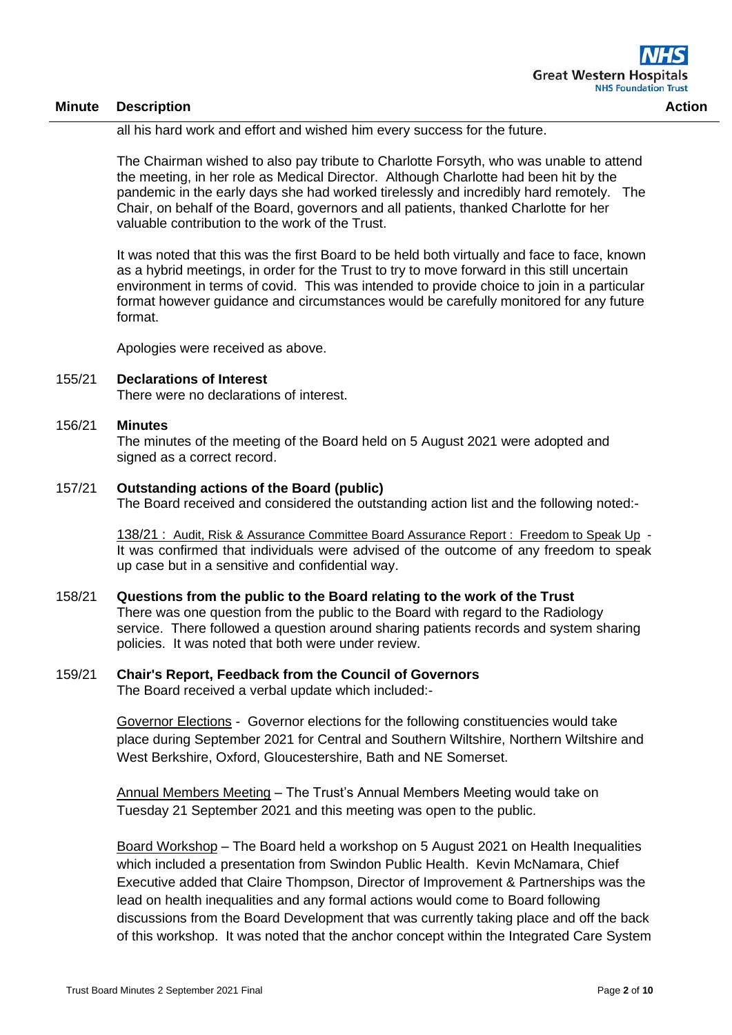all his hard work and effort and wished him every success for the future.

The Chairman wished to also pay tribute to Charlotte Forsyth, who was unable to attend the meeting, in her role as Medical Director. Although Charlotte had been hit by the pandemic in the early days she had worked tirelessly and incredibly hard remotely. The Chair, on behalf of the Board, governors and all patients, thanked Charlotte for her valuable contribution to the work of the Trust.

It was noted that this was the first Board to be held both virtually and face to face, known as a hybrid meetings, in order for the Trust to try to move forward in this still uncertain environment in terms of covid. This was intended to provide choice to join in a particular format however guidance and circumstances would be carefully monitored for any future format.

Apologies were received as above.

#### 155/21 **Declarations of Interest**

There were no declarations of interest.

#### 156/21 **Minutes**

The minutes of the meeting of the Board held on 5 August 2021 were adopted and signed as a correct record.

#### 157/21 **Outstanding actions of the Board (public)**

The Board received and considered the outstanding action list and the following noted:-

138/21 : Audit, Risk & Assurance Committee Board Assurance Report : Freedom to Speak Up - It was confirmed that individuals were advised of the outcome of any freedom to speak up case but in a sensitive and confidential way.

#### 158/21 **Questions from the public to the Board relating to the work of the Trust**

There was one question from the public to the Board with regard to the Radiology service. There followed a question around sharing patients records and system sharing policies. It was noted that both were under review.

#### 159/21 **Chair's Report, Feedback from the Council of Governors**

The Board received a verbal update which included:-

Governor Elections - Governor elections for the following constituencies would take place during September 2021 for Central and Southern Wiltshire, Northern Wiltshire and West Berkshire, Oxford, Gloucestershire, Bath and NE Somerset.

Annual Members Meeting – The Trust's Annual Members Meeting would take on Tuesday 21 September 2021 and this meeting was open to the public.

Board Workshop – The Board held a workshop on 5 August 2021 on Health Inequalities which included a presentation from Swindon Public Health. Kevin McNamara, Chief Executive added that Claire Thompson, Director of Improvement & Partnerships was the lead on health inequalities and any formal actions would come to Board following discussions from the Board Development that was currently taking place and off the back of this workshop. It was noted that the anchor concept within the Integrated Care System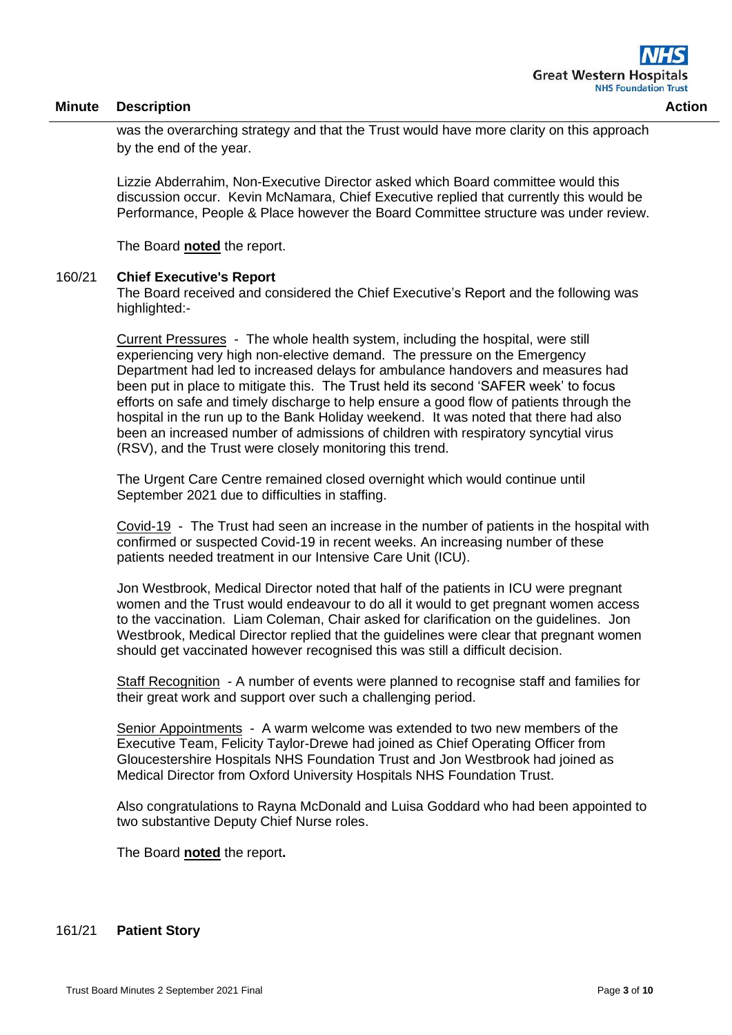was the overarching strategy and that the Trust would have more clarity on this approach by the end of the year.

Lizzie Abderrahim, Non-Executive Director asked which Board committee would this discussion occur. Kevin McNamara, Chief Executive replied that currently this would be Performance, People & Place however the Board Committee structure was under review.

The Board **noted** the report.

#### 160/21 **Chief Executive's Report**

The Board received and considered the Chief Executive's Report and the following was highlighted:-

Current Pressures - The whole health system, including the hospital, were still experiencing very high non-elective demand. The pressure on the Emergency Department had led to increased delays for ambulance handovers and measures had been put in place to mitigate this. The Trust held its second 'SAFER week' to focus efforts on safe and timely discharge to help ensure a good flow of patients through the hospital in the run up to the Bank Holiday weekend. It was noted that there had also been an increased number of admissions of children with respiratory syncytial virus (RSV), and the Trust were closely monitoring this trend.

The Urgent Care Centre remained closed overnight which would continue until September 2021 due to difficulties in staffing.

Covid-19 - The Trust had seen an increase in the number of patients in the hospital with confirmed or suspected Covid-19 in recent weeks. An increasing number of these patients needed treatment in our Intensive Care Unit (ICU).

Jon Westbrook, Medical Director noted that half of the patients in ICU were pregnant women and the Trust would endeavour to do all it would to get pregnant women access to the vaccination. Liam Coleman, Chair asked for clarification on the guidelines. Jon Westbrook, Medical Director replied that the guidelines were clear that pregnant women should get vaccinated however recognised this was still a difficult decision.

Staff Recognition - A number of events were planned to recognise staff and families for their great work and support over such a challenging period.

Senior Appointments - A warm welcome was extended to two new members of the Executive Team, Felicity Taylor-Drewe had joined as Chief Operating Officer from Gloucestershire Hospitals NHS Foundation Trust and Jon Westbrook had joined as Medical Director from Oxford University Hospitals NHS Foundation Trust.

Also congratulations to Rayna McDonald and Luisa Goddard who had been appointed to two substantive Deputy Chief Nurse roles.

The Board **noted** the report**.**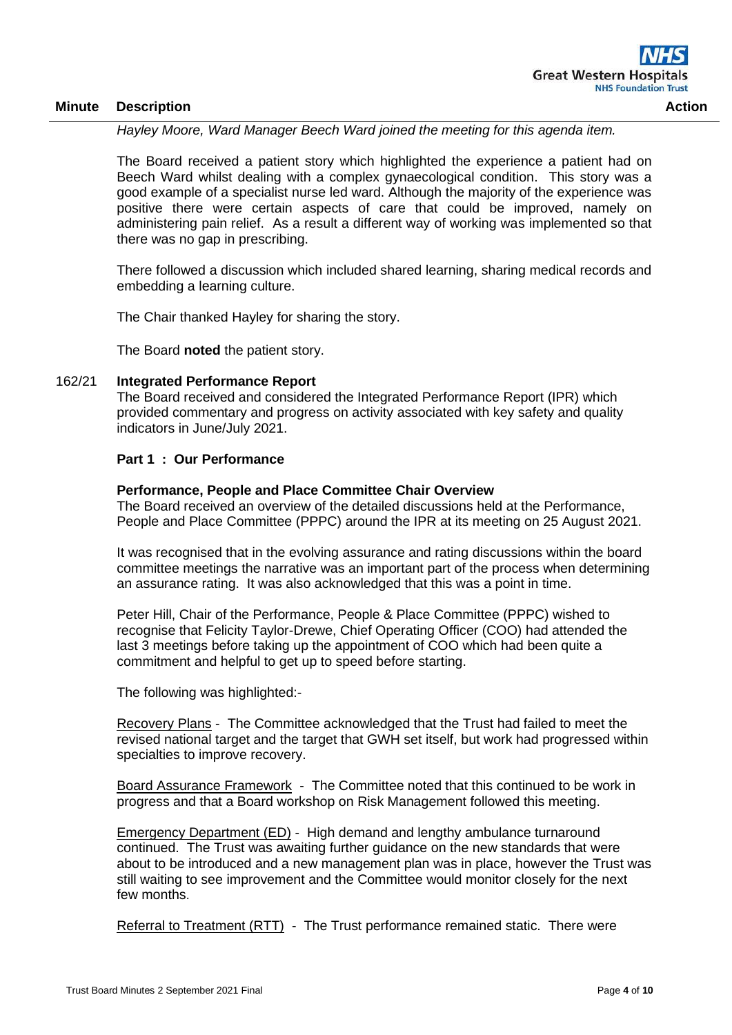*Hayley Moore, Ward Manager Beech Ward joined the meeting for this agenda item.*

The Board received a patient story which highlighted the experience a patient had on Beech Ward whilst dealing with a complex gynaecological condition. This story was a good example of a specialist nurse led ward. Although the majority of the experience was positive there were certain aspects of care that could be improved, namely on administering pain relief. As a result a different way of working was implemented so that there was no gap in prescribing.

There followed a discussion which included shared learning, sharing medical records and embedding a learning culture.

The Chair thanked Hayley for sharing the story.

The Board **noted** the patient story.

#### 162/21 **Integrated Performance Report**

The Board received and considered the Integrated Performance Report (IPR) which provided commentary and progress on activity associated with key safety and quality indicators in June/July 2021.

#### **Part 1 : Our Performance**

#### **Performance, People and Place Committee Chair Overview**

The Board received an overview of the detailed discussions held at the Performance, People and Place Committee (PPPC) around the IPR at its meeting on 25 August 2021.

It was recognised that in the evolving assurance and rating discussions within the board committee meetings the narrative was an important part of the process when determining an assurance rating. It was also acknowledged that this was a point in time.

Peter Hill, Chair of the Performance, People & Place Committee (PPPC) wished to recognise that Felicity Taylor-Drewe, Chief Operating Officer (COO) had attended the last 3 meetings before taking up the appointment of COO which had been quite a commitment and helpful to get up to speed before starting.

The following was highlighted:-

Recovery Plans - The Committee acknowledged that the Trust had failed to meet the revised national target and the target that GWH set itself, but work had progressed within specialties to improve recovery.

Board Assurance Framework - The Committee noted that this continued to be work in progress and that a Board workshop on Risk Management followed this meeting.

Emergency Department (ED) - High demand and lengthy ambulance turnaround continued. The Trust was awaiting further guidance on the new standards that were about to be introduced and a new management plan was in place, however the Trust was still waiting to see improvement and the Committee would monitor closely for the next few months.

Referral to Treatment (RTT) - The Trust performance remained static. There were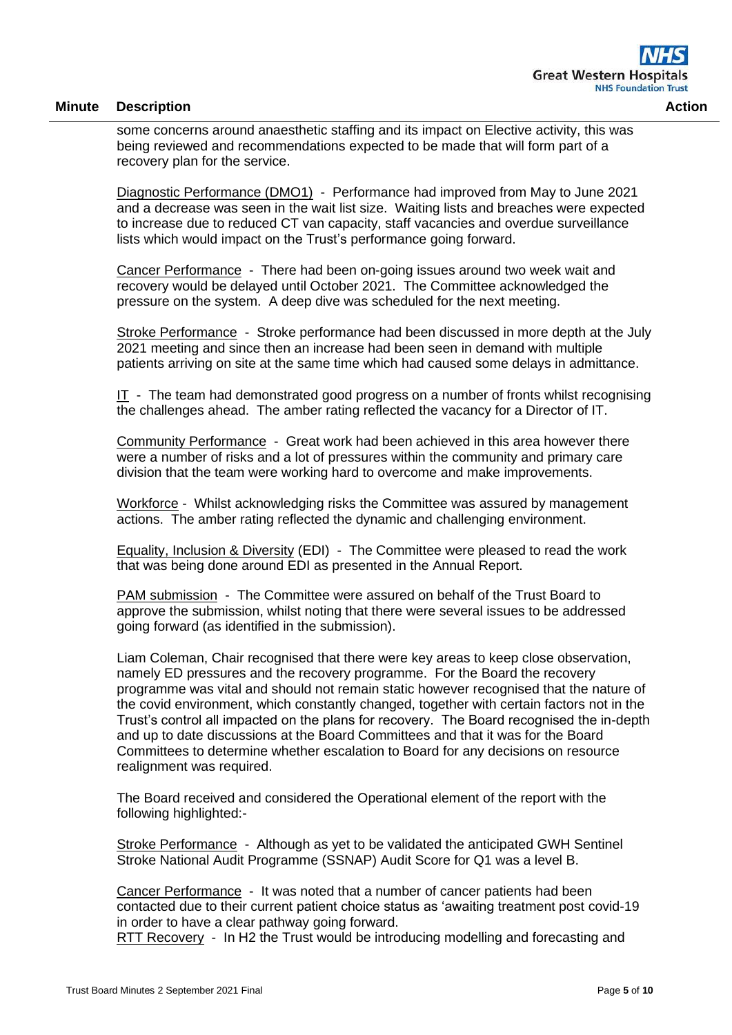some concerns around anaesthetic staffing and its impact on Elective activity, this was being reviewed and recommendations expected to be made that will form part of a recovery plan for the service.

Diagnostic Performance (DMO1) - Performance had improved from May to June 2021 and a decrease was seen in the wait list size. Waiting lists and breaches were expected to increase due to reduced CT van capacity, staff vacancies and overdue surveillance lists which would impact on the Trust's performance going forward.

Cancer Performance - There had been on-going issues around two week wait and recovery would be delayed until October 2021. The Committee acknowledged the pressure on the system. A deep dive was scheduled for the next meeting.

Stroke Performance - Stroke performance had been discussed in more depth at the July 2021 meeting and since then an increase had been seen in demand with multiple patients arriving on site at the same time which had caused some delays in admittance.

IT - The team had demonstrated good progress on a number of fronts whilst recognising the challenges ahead. The amber rating reflected the vacancy for a Director of IT.

Community Performance - Great work had been achieved in this area however there were a number of risks and a lot of pressures within the community and primary care division that the team were working hard to overcome and make improvements.

Workforce - Whilst acknowledging risks the Committee was assured by management actions. The amber rating reflected the dynamic and challenging environment.

Equality, Inclusion & Diversity (EDI) - The Committee were pleased to read the work that was being done around EDI as presented in the Annual Report.

PAM submission - The Committee were assured on behalf of the Trust Board to approve the submission, whilst noting that there were several issues to be addressed going forward (as identified in the submission).

Liam Coleman, Chair recognised that there were key areas to keep close observation, namely ED pressures and the recovery programme. For the Board the recovery programme was vital and should not remain static however recognised that the nature of the covid environment, which constantly changed, together with certain factors not in the Trust's control all impacted on the plans for recovery. The Board recognised the in-depth and up to date discussions at the Board Committees and that it was for the Board Committees to determine whether escalation to Board for any decisions on resource realignment was required.

The Board received and considered the Operational element of the report with the following highlighted:-

Stroke Performance - Although as yet to be validated the anticipated GWH Sentinel Stroke National Audit Programme (SSNAP) Audit Score for Q1 was a level B.

Cancer Performance - It was noted that a number of cancer patients had been contacted due to their current patient choice status as 'awaiting treatment post covid-19 in order to have a clear pathway going forward.

RTT Recovery - In H2 the Trust would be introducing modelling and forecasting and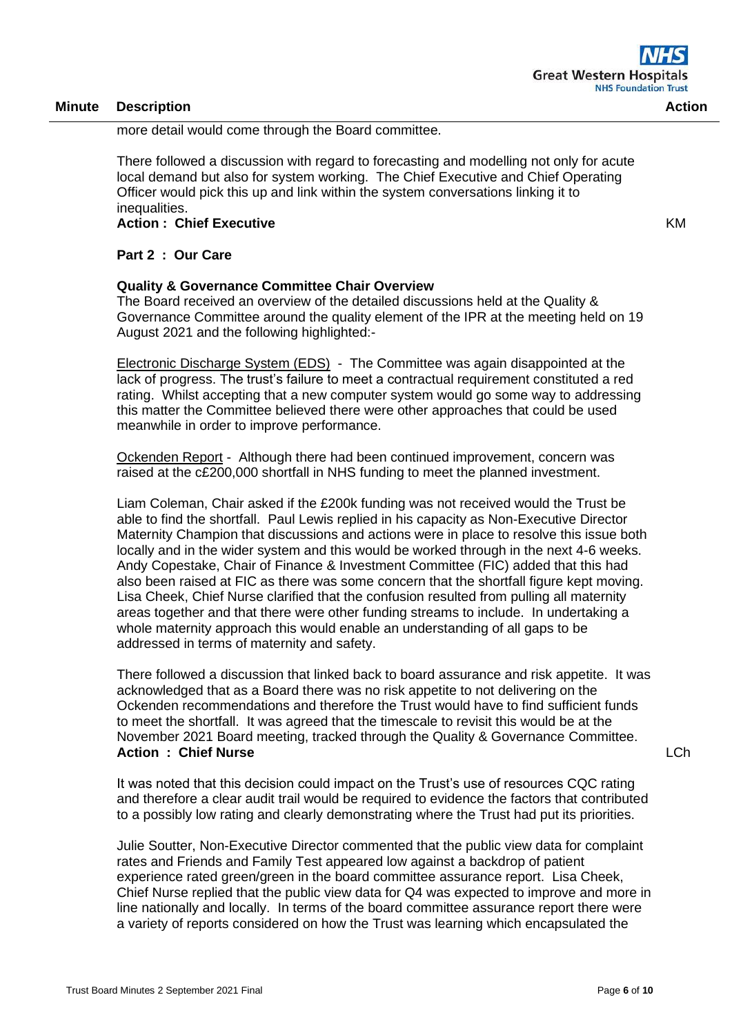KM

more detail would come through the Board committee.

There followed a discussion with regard to forecasting and modelling not only for acute local demand but also for system working. The Chief Executive and Chief Operating Officer would pick this up and link within the system conversations linking it to inequalities.

**Action : Chief Executive** 

**Part 2 : Our Care** 

#### **Quality & Governance Committee Chair Overview**

The Board received an overview of the detailed discussions held at the Quality & Governance Committee around the quality element of the IPR at the meeting held on 19 August 2021 and the following highlighted:-

Electronic Discharge System (EDS) - The Committee was again disappointed at the lack of progress. The trust's failure to meet a contractual requirement constituted a red rating. Whilst accepting that a new computer system would go some way to addressing this matter the Committee believed there were other approaches that could be used meanwhile in order to improve performance.

Ockenden Report - Although there had been continued improvement, concern was raised at the c£200,000 shortfall in NHS funding to meet the planned investment.

Liam Coleman, Chair asked if the £200k funding was not received would the Trust be able to find the shortfall. Paul Lewis replied in his capacity as Non-Executive Director Maternity Champion that discussions and actions were in place to resolve this issue both locally and in the wider system and this would be worked through in the next 4-6 weeks. Andy Copestake, Chair of Finance & Investment Committee (FIC) added that this had also been raised at FIC as there was some concern that the shortfall figure kept moving. Lisa Cheek, Chief Nurse clarified that the confusion resulted from pulling all maternity areas together and that there were other funding streams to include. In undertaking a whole maternity approach this would enable an understanding of all gaps to be addressed in terms of maternity and safety.

There followed a discussion that linked back to board assurance and risk appetite. It was acknowledged that as a Board there was no risk appetite to not delivering on the Ockenden recommendations and therefore the Trust would have to find sufficient funds to meet the shortfall. It was agreed that the timescale to revisit this would be at the November 2021 Board meeting, tracked through the Quality & Governance Committee. **Action : Chief Nurse**

LCh

It was noted that this decision could impact on the Trust's use of resources CQC rating and therefore a clear audit trail would be required to evidence the factors that contributed to a possibly low rating and clearly demonstrating where the Trust had put its priorities.

Julie Soutter, Non-Executive Director commented that the public view data for complaint rates and Friends and Family Test appeared low against a backdrop of patient experience rated green/green in the board committee assurance report. Lisa Cheek, Chief Nurse replied that the public view data for Q4 was expected to improve and more in line nationally and locally. In terms of the board committee assurance report there were a variety of reports considered on how the Trust was learning which encapsulated the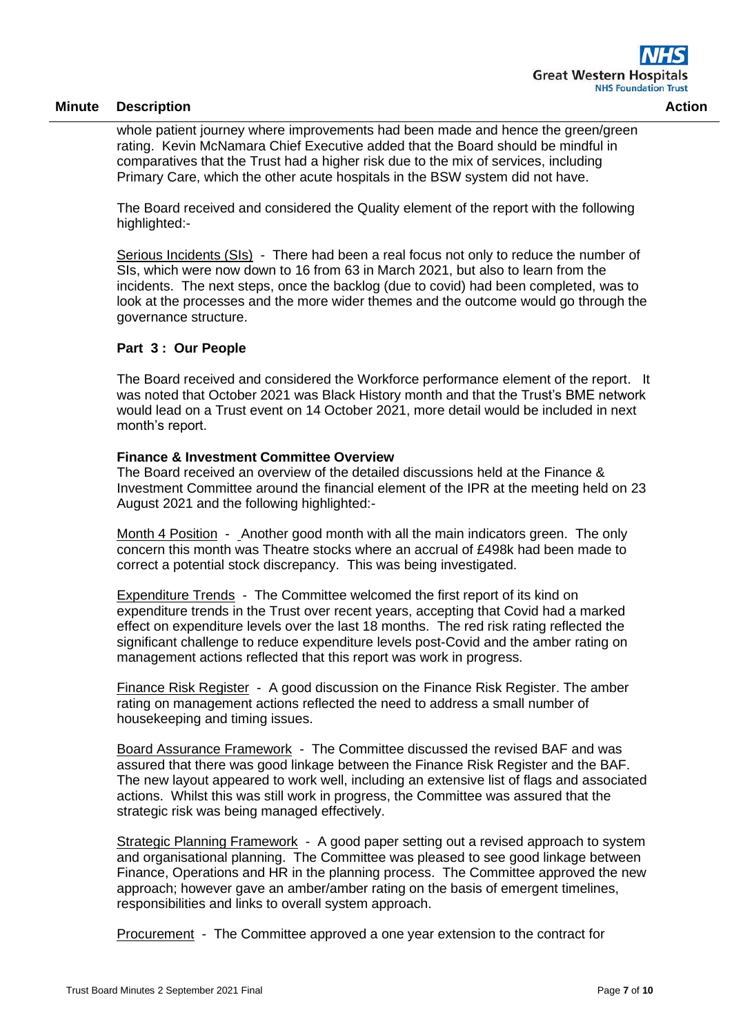whole patient journey where improvements had been made and hence the green/green rating. Kevin McNamara Chief Executive added that the Board should be mindful in comparatives that the Trust had a higher risk due to the mix of services, including Primary Care, which the other acute hospitals in the BSW system did not have.

The Board received and considered the Quality element of the report with the following highlighted:-

Serious Incidents (SIs) - There had been a real focus not only to reduce the number of SIs, which were now down to 16 from 63 in March 2021, but also to learn from the incidents. The next steps, once the backlog (due to covid) had been completed, was to look at the processes and the more wider themes and the outcome would go through the governance structure.

## **Part 3 : Our People**

The Board received and considered the Workforce performance element of the report. It was noted that October 2021 was Black History month and that the Trust's BME network would lead on a Trust event on 14 October 2021, more detail would be included in next month's report.

## **Finance & Investment Committee Overview**

The Board received an overview of the detailed discussions held at the Finance & Investment Committee around the financial element of the IPR at the meeting held on 23 August 2021 and the following highlighted:-

Month 4 Position - Another good month with all the main indicators green. The only concern this month was Theatre stocks where an accrual of £498k had been made to correct a potential stock discrepancy. This was being investigated.

Expenditure Trends - The Committee welcomed the first report of its kind on expenditure trends in the Trust over recent years, accepting that Covid had a marked effect on expenditure levels over the last 18 months. The red risk rating reflected the significant challenge to reduce expenditure levels post-Covid and the amber rating on management actions reflected that this report was work in progress.

Finance Risk Register - A good discussion on the Finance Risk Register. The amber rating on management actions reflected the need to address a small number of housekeeping and timing issues.

Board Assurance Framework - The Committee discussed the revised BAF and was assured that there was good linkage between the Finance Risk Register and the BAF. The new layout appeared to work well, including an extensive list of flags and associated actions. Whilst this was still work in progress, the Committee was assured that the strategic risk was being managed effectively.

Strategic Planning Framework - A good paper setting out a revised approach to system and organisational planning. The Committee was pleased to see good linkage between Finance, Operations and HR in the planning process. The Committee approved the new approach; however gave an amber/amber rating on the basis of emergent timelines, responsibilities and links to overall system approach.

Procurement - The Committee approved a one year extension to the contract for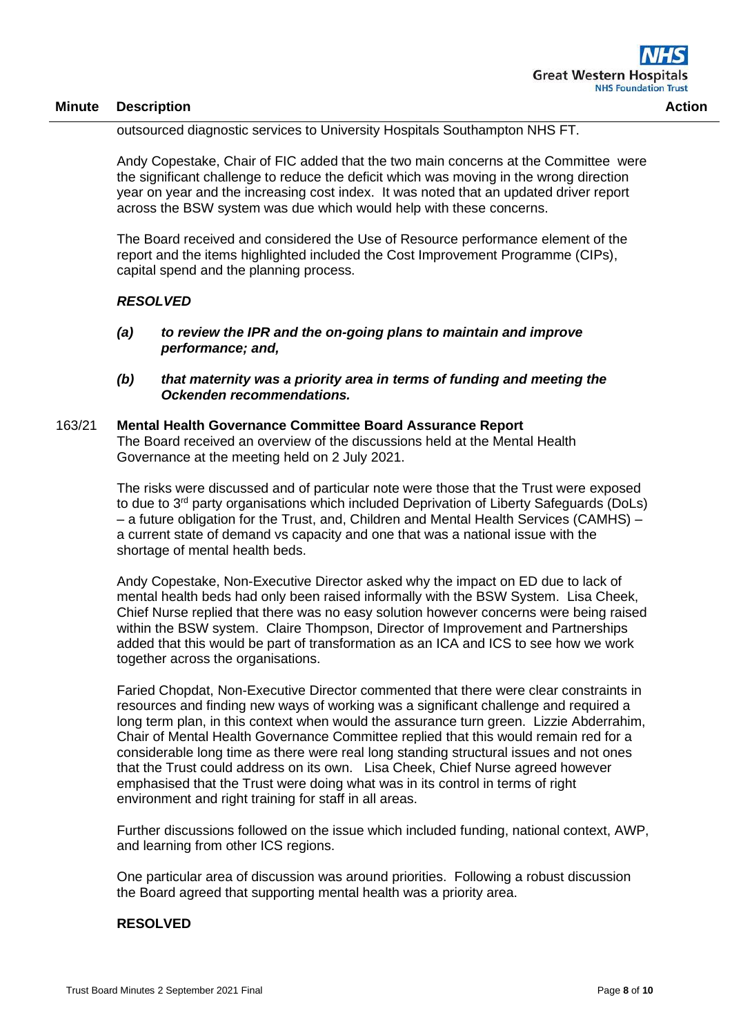outsourced diagnostic services to University Hospitals Southampton NHS FT.

Andy Copestake, Chair of FIC added that the two main concerns at the Committee were the significant challenge to reduce the deficit which was moving in the wrong direction year on year and the increasing cost index. It was noted that an updated driver report across the BSW system was due which would help with these concerns.

The Board received and considered the Use of Resource performance element of the report and the items highlighted included the Cost Improvement Programme (CIPs), capital spend and the planning process.

#### *RESOLVED*

- *(a) to review the IPR and the on-going plans to maintain and improve performance; and,*
- *(b) that maternity was a priority area in terms of funding and meeting the Ockenden recommendations.*

#### 163/21 **Mental Health Governance Committee Board Assurance Report**

The Board received an overview of the discussions held at the Mental Health Governance at the meeting held on 2 July 2021.

The risks were discussed and of particular note were those that the Trust were exposed to due to 3<sup>rd</sup> party organisations which included Deprivation of Liberty Safeguards (DoLs) – a future obligation for the Trust, and, Children and Mental Health Services (CAMHS) – a current state of demand vs capacity and one that was a national issue with the shortage of mental health beds.

Andy Copestake, Non-Executive Director asked why the impact on ED due to lack of mental health beds had only been raised informally with the BSW System. Lisa Cheek, Chief Nurse replied that there was no easy solution however concerns were being raised within the BSW system. Claire Thompson, Director of Improvement and Partnerships added that this would be part of transformation as an ICA and ICS to see how we work together across the organisations.

Faried Chopdat, Non-Executive Director commented that there were clear constraints in resources and finding new ways of working was a significant challenge and required a long term plan, in this context when would the assurance turn green. Lizzie Abderrahim, Chair of Mental Health Governance Committee replied that this would remain red for a considerable long time as there were real long standing structural issues and not ones that the Trust could address on its own. Lisa Cheek, Chief Nurse agreed however emphasised that the Trust were doing what was in its control in terms of right environment and right training for staff in all areas.

Further discussions followed on the issue which included funding, national context, AWP, and learning from other ICS regions.

One particular area of discussion was around priorities. Following a robust discussion the Board agreed that supporting mental health was a priority area.

#### **RESOLVED**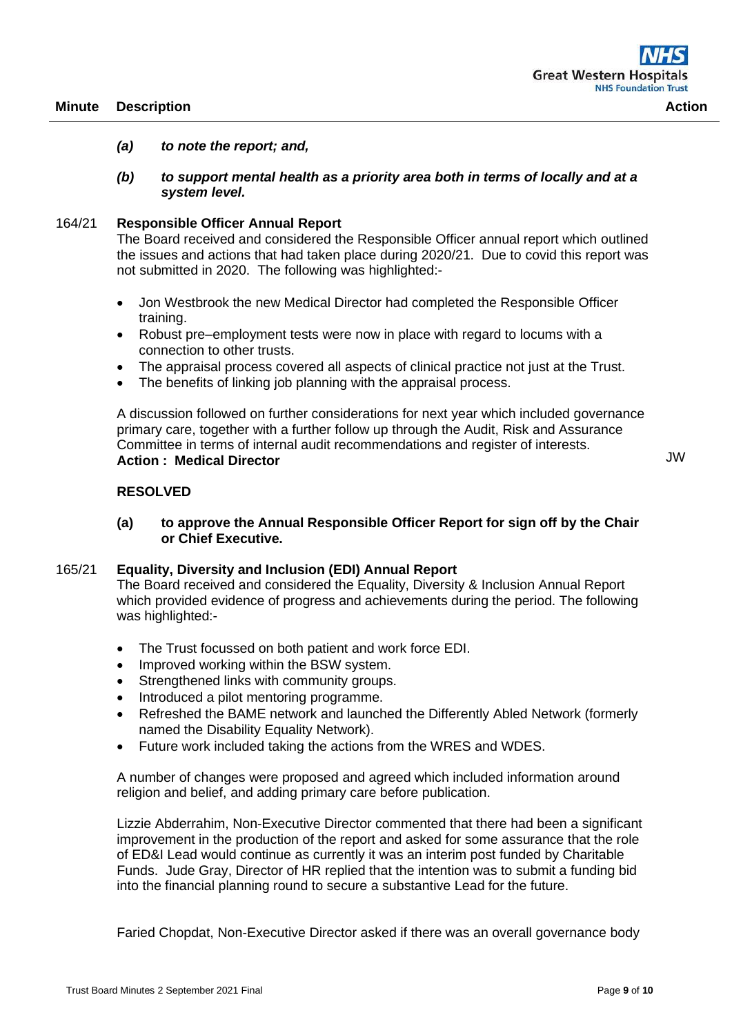#### *(a) to note the report; and,*

*(b) to support mental health as a priority area both in terms of locally and at a system level.*

#### 164/21 **Responsible Officer Annual Report**

The Board received and considered the Responsible Officer annual report which outlined the issues and actions that had taken place during 2020/21. Due to covid this report was not submitted in 2020. The following was highlighted:-

- Jon Westbrook the new Medical Director had completed the Responsible Officer training.
- Robust pre–employment tests were now in place with regard to locums with a connection to other trusts.
- The appraisal process covered all aspects of clinical practice not just at the Trust.
- The benefits of linking job planning with the appraisal process.

A discussion followed on further considerations for next year which included governance primary care, together with a further follow up through the Audit, Risk and Assurance Committee in terms of internal audit recommendations and register of interests. **Action : Medical Director** 

## **RESOLVED**

## **(a) to approve the Annual Responsible Officer Report for sign off by the Chair or Chief Executive.**

#### 165/21 **Equality, Diversity and Inclusion (EDI) Annual Report**

The Board received and considered the Equality, Diversity & Inclusion Annual Report which provided evidence of progress and achievements during the period. The following was highlighted:-

- The Trust focussed on both patient and work force EDI.
- Improved working within the BSW system.
- Strengthened links with community groups.
- Introduced a pilot mentoring programme.
- Refreshed the BAME network and launched the Differently Abled Network (formerly named the Disability Equality Network).
- Future work included taking the actions from the WRES and WDES.

A number of changes were proposed and agreed which included information around religion and belief, and adding primary care before publication.

Lizzie Abderrahim, Non-Executive Director commented that there had been a significant improvement in the production of the report and asked for some assurance that the role of ED&I Lead would continue as currently it was an interim post funded by Charitable Funds. Jude Gray, Director of HR replied that the intention was to submit a funding bid into the financial planning round to secure a substantive Lead for the future.

Faried Chopdat, Non-Executive Director asked if there was an overall governance body

JW